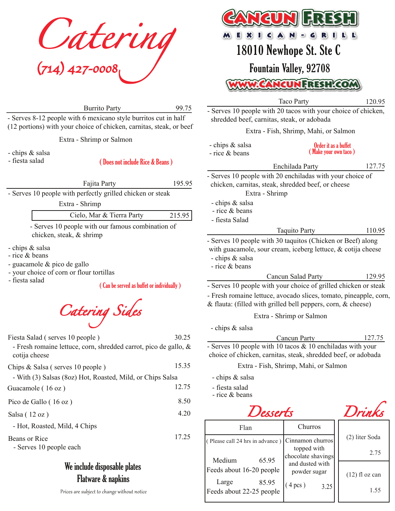*Catering (714) 427-0008*

Burrito Party

99.75

30.25

- Serves 8-12 people with 6 mexicano style burritos cut in half (12 portions) with your choice of chicken, carnitas, steak, or beef

Extra - Shrimp or Salmon

- chips & salsa

- fiesta salad

( Does not include Rice & Beans )

Fajita Party 195.95

- Serves 10 people with perfectly grilled chicken or steak

Extra - Shrimp

| Cielo, Mar & Tierra Party |  |  |  | 215.95 |  |  |
|---------------------------|--|--|--|--------|--|--|
| .                         |  |  |  |        |  |  |

- Serves 10 people with our famous combination of chicken, steak, & shrimp

- chips & salsa
- rice & beans
- guacamole & pico de gallo
- your choice of corn or flour tortillas

- fiesta salad

( Can be served as buffet or individually )



Fiesta Salad ( serves 10 people )

- Fresh romaine lettuce, corn, shredded carrot, pico de gallo, & cotija cheese

| Chips $&$ Salsa (serves 10 people)                         | 15.35 |
|------------------------------------------------------------|-------|
| - With (3) Salsas (80z) Hot, Roasted, Mild, or Chips Salsa |       |
| Guacamole (16 oz)                                          | 12.75 |
| Pico de Gallo (16 oz)                                      | 8.50  |
| Salsa $(12 oz)$                                            | 4.20  |
| - Hot, Roasted, Mild, 4 Chips                              |       |
| Beans or Rice<br>- Serves 10 people each                   | 17.25 |
| Wa includa dienocahla nlatac                               |       |
|                                                            |       |

## We include disposable plates Flatware & napkins

Prices are subject to change without notice



18010 Newhope St. Ste C Fountain Valley, 92708

www.CancunFresh.com

Taco Party - Serves 10 people with 20 tacos with your choice of chicken, shredded beef, carnitas, steak, or adobada 120.95

Extra - Fish, Shrimp, Mahi, or Salmon

| - chips & salsa<br>- rice & beans                                                                                             | Order it as a buffet<br>(Make your own taco)                                                                                         |        |  |  |
|-------------------------------------------------------------------------------------------------------------------------------|--------------------------------------------------------------------------------------------------------------------------------------|--------|--|--|
|                                                                                                                               | Enchilada Party                                                                                                                      | 127.75 |  |  |
| Extra - Shrimp                                                                                                                | - Serves 10 people with 20 enchiladas with your choice of<br>chicken, carnitas, steak, shredded beef, or cheese                      |        |  |  |
| - chips & salsa<br>- rice & beans<br>- fiesta Salad                                                                           |                                                                                                                                      |        |  |  |
|                                                                                                                               | <b>Taquito Party</b>                                                                                                                 | 110.95 |  |  |
| - chips & salsa<br>- rice & beans                                                                                             | - Serves 10 people with 30 taquitos (Chicken or Beef) along<br>with guacamole, sour cream, iceberg lettuce, $\&$ cotija cheese       |        |  |  |
|                                                                                                                               | Cancun Salad Party                                                                                                                   | 129.95 |  |  |
|                                                                                                                               | - Serves 10 people with your choice of grilled chicken or steak                                                                      |        |  |  |
|                                                                                                                               | - Fresh romaine lettuce, avocado slices, tomato, pineapple, corn,<br>& flauta: (filled with grilled bell peppers, corn, $\&$ cheese) |        |  |  |
|                                                                                                                               | Extra - Shrimp or Salmon                                                                                                             |        |  |  |
| - chips & salsa                                                                                                               |                                                                                                                                      |        |  |  |
|                                                                                                                               | Cancun Party                                                                                                                         | 127.75 |  |  |
| - Serves 10 people with 10 tacos $& 10$ enchiladas with your<br>choice of chicken, carnitas, steak, shredded beef, or adobada |                                                                                                                                      |        |  |  |
|                                                                                                                               | Extra - Fish, Shrimp, Mahi, or Salmon                                                                                                |        |  |  |
| - chips & salsa                                                                                                               |                                                                                                                                      |        |  |  |
| - fiesta salad<br>- rice & beans                                                                                              |                                                                                                                                      |        |  |  |



| Flan                                       | Churros                               | (2) liter Soda   |  |
|--------------------------------------------|---------------------------------------|------------------|--|
| (Please call 24 hrs in advance)            | Cinnamon churros<br>topped with       |                  |  |
| 65.95<br>Medium                            | chocolate shavings<br>and dusted with | 2.75             |  |
| Feeds about 16-20 people                   | powder sugar                          | $(12)$ fl oz can |  |
| Large<br>85.95<br>Feeds about 22-25 people | $(4 \text{ pcs})$<br>3.25             | 1.55             |  |

*Drinks*